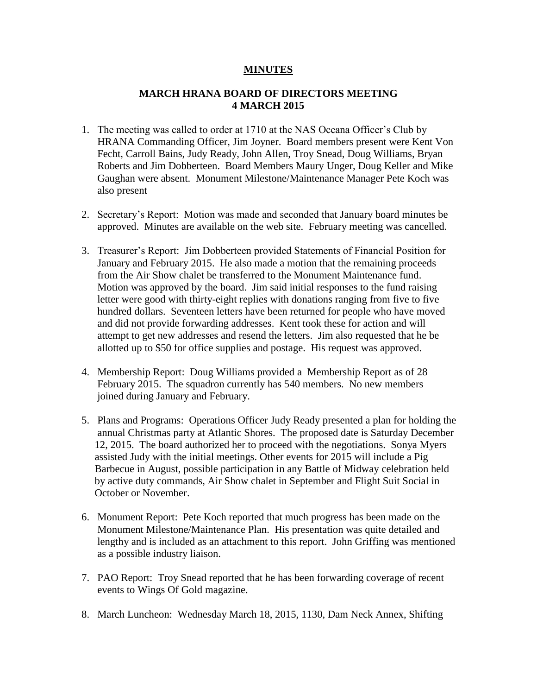## **MINUTES**

## **MARCH HRANA BOARD OF DIRECTORS MEETING 4 MARCH 2015**

- 1. The meeting was called to order at 1710 at the NAS Oceana Officer's Club by HRANA Commanding Officer, Jim Joyner. Board members present were Kent Von Fecht, Carroll Bains, Judy Ready, John Allen, Troy Snead, Doug Williams, Bryan Roberts and Jim Dobberteen. Board Members Maury Unger, Doug Keller and Mike Gaughan were absent. Monument Milestone/Maintenance Manager Pete Koch was also present
- 2. Secretary's Report: Motion was made and seconded that January board minutes be approved. Minutes are available on the web site. February meeting was cancelled.
- 3. Treasurer's Report: Jim Dobberteen provided Statements of Financial Position for January and February 2015. He also made a motion that the remaining proceeds from the Air Show chalet be transferred to the Monument Maintenance fund. Motion was approved by the board. Jim said initial responses to the fund raising letter were good with thirty-eight replies with donations ranging from five to five hundred dollars. Seventeen letters have been returned for people who have moved and did not provide forwarding addresses. Kent took these for action and will attempt to get new addresses and resend the letters. Jim also requested that he be allotted up to \$50 for office supplies and postage. His request was approved.
- 4. Membership Report: Doug Williams provided a Membership Report as of 28 February 2015. The squadron currently has 540 members. No new members joined during January and February.
- 5. Plans and Programs: Operations Officer Judy Ready presented a plan for holding the annual Christmas party at Atlantic Shores. The proposed date is Saturday December 12, 2015. The board authorized her to proceed with the negotiations. Sonya Myers assisted Judy with the initial meetings. Other events for 2015 will include a Pig Barbecue in August, possible participation in any Battle of Midway celebration held by active duty commands, Air Show chalet in September and Flight Suit Social in October or November.
- 6. Monument Report: Pete Koch reported that much progress has been made on the Monument Milestone/Maintenance Plan. His presentation was quite detailed and lengthy and is included as an attachment to this report. John Griffing was mentioned as a possible industry liaison.
- 7. PAO Report: Troy Snead reported that he has been forwarding coverage of recent events to Wings Of Gold magazine.
- 8. March Luncheon: Wednesday March 18, 2015, 1130, Dam Neck Annex, Shifting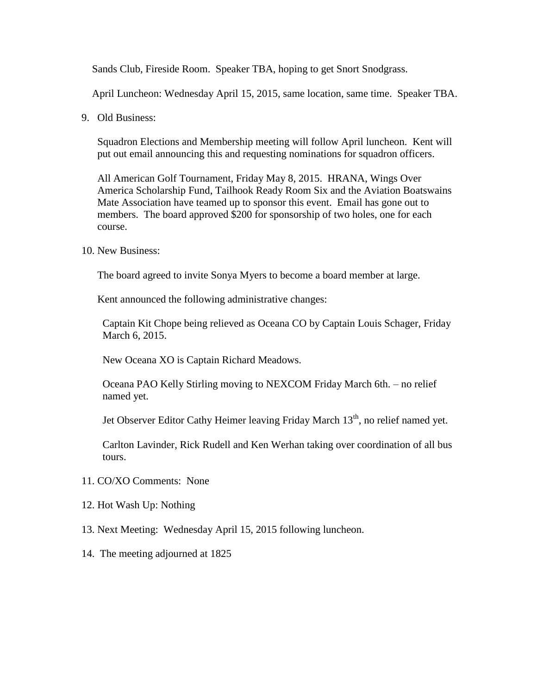Sands Club, Fireside Room. Speaker TBA, hoping to get Snort Snodgrass.

April Luncheon: Wednesday April 15, 2015, same location, same time. Speaker TBA.

9. Old Business:

Squadron Elections and Membership meeting will follow April luncheon. Kent will put out email announcing this and requesting nominations for squadron officers.

All American Golf Tournament, Friday May 8, 2015. HRANA, Wings Over America Scholarship Fund, Tailhook Ready Room Six and the Aviation Boatswains Mate Association have teamed up to sponsor this event. Email has gone out to members. The board approved \$200 for sponsorship of two holes, one for each course.

10. New Business:

The board agreed to invite Sonya Myers to become a board member at large.

Kent announced the following administrative changes:

 Captain Kit Chope being relieved as Oceana CO by Captain Louis Schager, Friday March 6, 2015.

New Oceana XO is Captain Richard Meadows.

 Oceana PAO Kelly Stirling moving to NEXCOM Friday March 6th. – no relief named yet.

Jet Observer Editor Cathy Heimer leaving Friday March 13<sup>th</sup>, no relief named yet.

 Carlton Lavinder, Rick Rudell and Ken Werhan taking over coordination of all bus tours.

- 11. CO/XO Comments: None
- 12. Hot Wash Up: Nothing
- 13. Next Meeting: Wednesday April 15, 2015 following luncheon.
- 14. The meeting adjourned at 1825